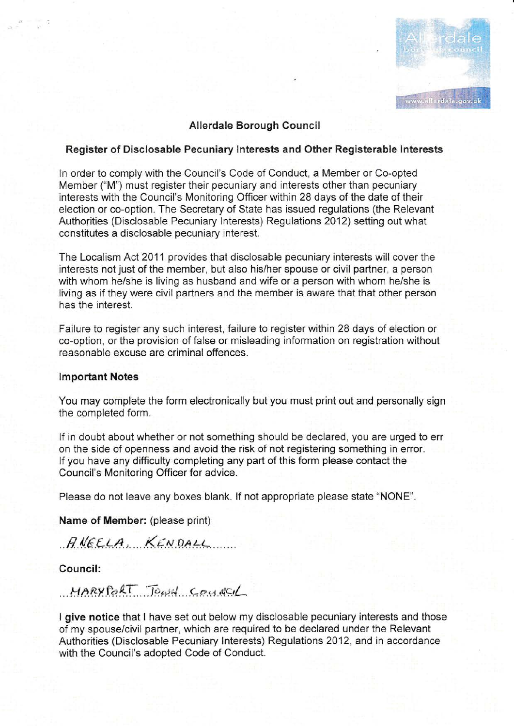

# Allendale Borough Council

### Register of Disclosable Pecuniary Interests and Other Registerable Interests

In order to comply with the Council's Code of Conduct, a Member or Co-opted Member ("M") must register their pecuniary and interests other than pecuniary interests with the Council's Monitoring Officer within 28 days of the date of their election or co-option. The Secretary of State has issued regulations (the Relevant Authorities (Disclosable Pecuniary Interests) Regulations 2012) setting out what constitutes a disclosable pecuniary interest.

The Localism Act 2011 provides that disclosable pecuniary interests will cover the interests not just of the mernber, but also his/her spouse or civil partner, a person with whom he/she is living as husband and wife or a person with whom he/she is living as if they were civil partners and the member is aware that that other person has the interest.

Failure to register any such interest, failure to register within 28 days of eiection or co-option, or the provision of false or misleading information on registration without reasonable excuse are criminal offences.

#### lmportant Notes

You may complete the form electronically but you must print out and personally sign the completed form.

lf in doubt about whether or not something should be declared, you are urged to err on the side of openness and avoid the risk of not registering something in error. lf you have any difficulty completing any part of this form please contact the Council's Monitoring Officer for advice.

Please do not leave any boxes blank. lf not appropriate please state "NONE".

Name of Member: (please print)

 $RNEELA$ ,  $KENDALL$ 

Council:

 $MARY RAT$  Town county

I give notice that I have set out below my disclosable pecuniary interests and those of rny spouse/civil partner, which are required to be declared under the Relevant Authorities (Disclosable Pecuniary lnterests) Regulations 2012, and in accordance with the Council's adopted Code of Conduct.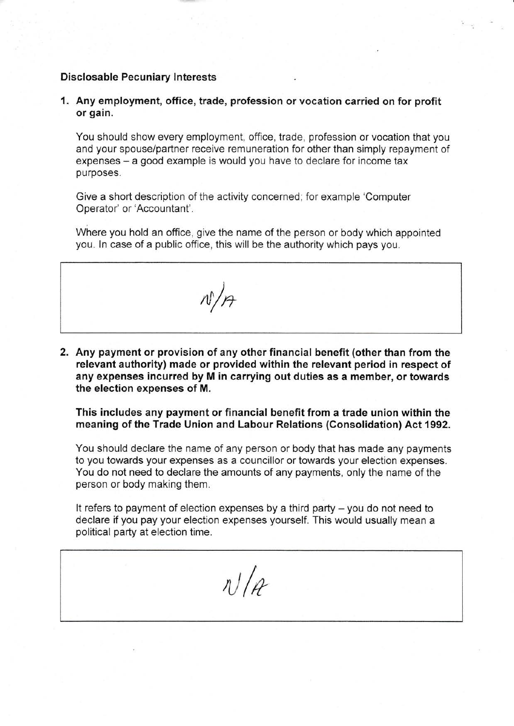#### Disclosable Pecuniary lnterests

1. Any employment, office, trade, profession or vocation carried on for profit or gain.

You should show every employment, office, trade. profession or vocation that you and your spouse/partner receive remuneration for other than simply repayment of expenses – a good example is would you have to declare for income tax purposes.

Give a short description of the activity concerned, for example 'Computer Operator' or'Accountant'.

Where you hold an office, give the name of the person or body which appointed you. ln case of a public office, this will be the authority which pays you.

 $N/\rho_f$ 

2. Any payment or provision of any other financial benefit (other than from the relevant authority) made or provided within the relevant period in respect of any expenses incurred by M in carrying out duties as a member, or towards the election expenses of M.

This includes any payment or financial benefit from a trade union within the meaning of the Trade Union and Labour Relations (Gonsolidation) Act 1992.

You should declare the name of any person or body that has made any payments to you towards your expenses as a councillor or towards your election expenses. You do not need to declare the amounts of any payments, only the name of the person or body making them.

It refers to payment of election expenses by a third party  $-$  you do not need to declare if you pay your election expenses yourself. This would usually mean a political party at election time.

 $n$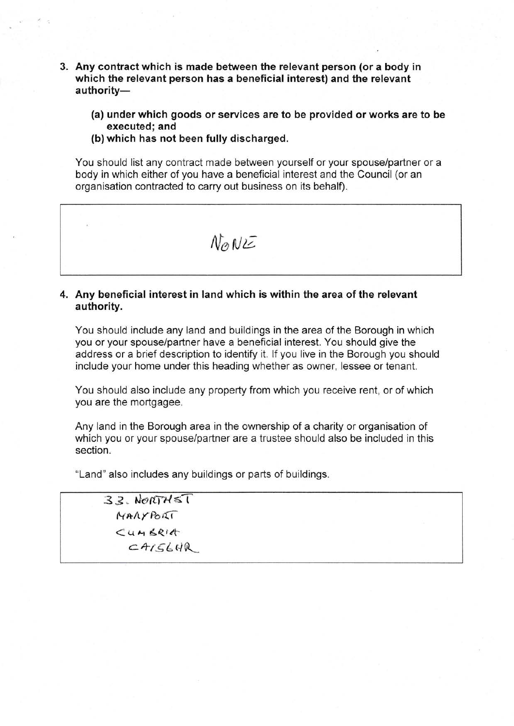- 3. Any contract which is made between the relevant person (or a body in which the relevant person has a beneficial interest) and the relevant authority-
	- (a) under which goods or services are to be provided or works are to be executed; and
	- (b) which has not been fully discharged.

You should list any contract made between yourself or your spouse/partner or a body in which either of you have a beneficial interest and the Council (or an organisation contracted to carry out business on its behalf).

 $N_{\odot}$   $N_{\odot}$ 

# 4. Any beneficial interest in land which is within the area of the retevant authority.

You should include any land and buildings in the area of the Borough in which you or your spouse/partner have a beneficial interest. You should give the address or a brief description to identify it. lf you live in the Borough you should include your home under this heading whether as owner, lessee or tenant.

You should also include any property from which you receive rent, or of which you are the mortgagee.

Any land in the Borough area in the ownership of a charity or organisation of which you or your spouse/partner are a trustee should also be included in this section.

"Land" also includes any buildings or parts of buildings.

 $33.$  NORTHET MAAYPORT  $\leq$ UMBRIA  $CAFGCHR$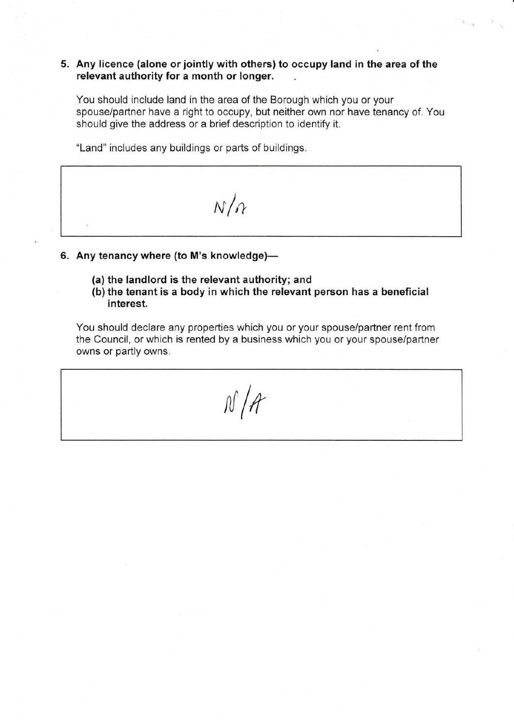## 5. Any licence (alone or jointly with others) to occupy land in the area of the relevant authority for a month or longer

You should include land in the area of the Borough which you or your spouse/partner have a right to occupy, but neither own nor have tenancy of. You should give the address or a brief description to identify it.

1:

\*Land" includes any buildings or parts of buildings.



- 6. Any tenancy where (to M's knowledge)-
	- (a) the landlord is the relevant authority; and
	- (b) the tenant is a body in which the relevant person has a beneficial interest.

You should declare any properties which you or your spouse/partner rent from the Council, or which is rented by a business which you or your spouse/partner owns or partly owns.

 $N/A$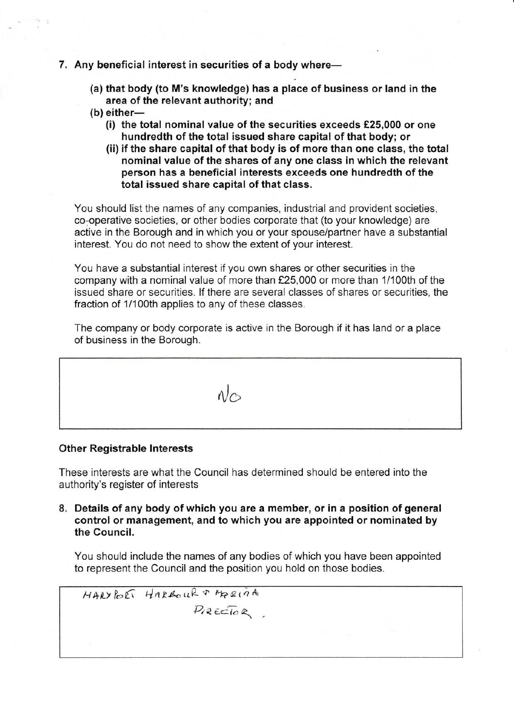# 7. Any beneficial interest in securities of a body where-

- (a) that body (to M's knowledge) has a place of business or land in the area of the relevant authority; and
- $(b)$  either-
	- (i) the total nominal value of the securities exceeds  $£25,000$  or one hundredth of the total issued share capital of that body; or
	- (ii) if the share capital of that body is of more than one class, the total nominal value of the shares of any one class in which the relevant person has a beneficial interests exceeds one hundredth of the total issued share capital of that class.

You should list the names of any companies, industrial and provident societies, co-operative societies, or other bodies corporate that (to your knowledge) are active in the Borough and in which you or your spouse/partner have a substantial interest. You do not need to show the extent of your interest.

You have a substantial interest if you own shares or other securities in the company with a nominal value of more than £25,000 or more than 1/100th of the issued share or securities. lf there are several classes of shares or securities, the fraction of 1/100th applies to any of these classes.

The company or body corporate is active in the Borough if it has land or a place of business in the Borough.

 $N_{\odot}$ 

### **Other Registrable Interests**

These interests are what the Council has determined should be entered into the authority's register of interests

8. Details of any body of which you are a member, or in a position of general control or management, and to which you are appointed or nominated by the Council.

You should include the names of any bodies of which you have been appointed to represent the Council and the position you hold on those bodies.

 $HARYBER$  HARROUR T MORINA  $P_{1}$ RECTOR